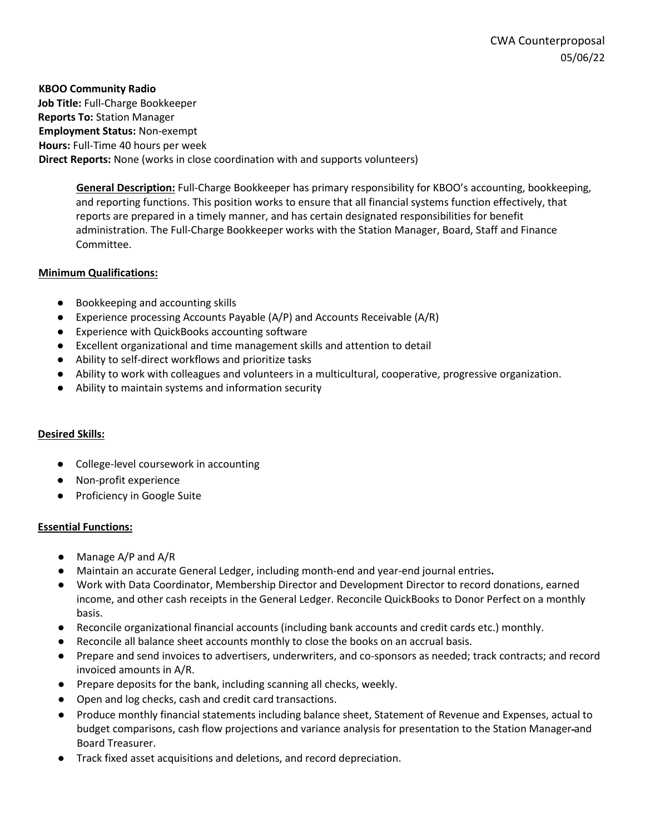**KBOO Community Radio Job Title:** Full-Charge Bookkeeper **Reports To:** Station Manager **Employment Status:** Non-exempt **Hours:** Full-Time 40 hours per week **Direct Reports:** None (works in close coordination with and supports volunteers)

**General Description:** Full-Charge Bookkeeper has primary responsibility for KBOO's accounting, bookkeeping, and reporting functions. This position works to ensure that all financial systems function effectively, that reports are prepared in a timely manner, and has certain designated responsibilities for benefit administration. The Full-Charge Bookkeeper works with the Station Manager, Board, Staff and Finance Committee.

# **Minimum Qualifications:**

- Bookkeeping and accounting skills
- Experience processing Accounts Payable (A/P) and Accounts Receivable (A/R)
- Experience with QuickBooks accounting software
- Excellent organizational and time management skills and attention to detail
- Ability to self-direct workflows and prioritize tasks
- Ability to work with colleagues and volunteers in a multicultural, cooperative, progressive organization.
- Ability to maintain systems and information security

#### **Desired Skills:**

- College-level coursework in accounting
- Non-profit experience
- Proficiency in Google Suite

#### **Essential Functions:**

- Manage A/P and A/R
- Maintain an accurate General Ledger, including month-end and year-end journal entries**.**
- Work with Data Coordinator, Membership Director and Development Director to record donations, earned income, and other cash receipts in the General Ledger. Reconcile QuickBooks to Donor Perfect on a monthly basis.
- Reconcile organizational financial accounts (including bank accounts and credit cards etc.) monthly.
- Reconcile all balance sheet accounts monthly to close the books on an accrual basis.
- Prepare and send invoices to advertisers, underwriters, and co-sponsors as needed; track contracts; and record invoiced amounts in A/R.
- Prepare deposits for the bank, including scanning all checks, weekly.
- Open and log checks, cash and credit card transactions.
- Produce monthly financial statements including balance sheet, Statement of Revenue and Expenses, actual to budget comparisons, cash flow projections and variance analysis for presentation to the Station Manager and Board Treasurer.
- Track fixed asset acquisitions and deletions, and record depreciation.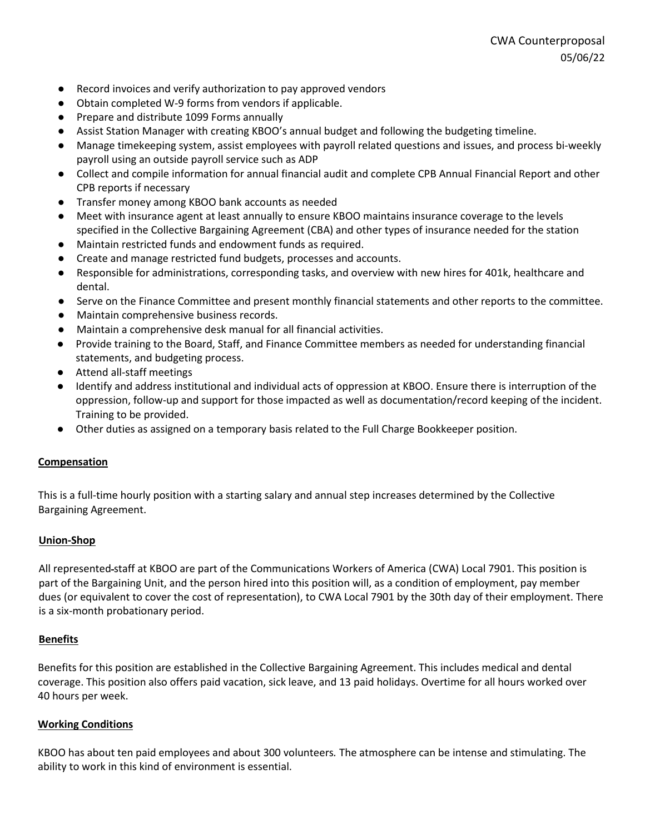- Record invoices and verify authorization to pay approved vendors
- Obtain completed W-9 forms from vendors if applicable.
- Prepare and distribute 1099 Forms annually
- Assist Station Manager with creating KBOO's annual budget and following the budgeting timeline.
- Manage timekeeping system, assist employees with payroll related questions and issues, and process bi-weekly payroll using an outside payroll service such as ADP
- Collect and compile information for annual financial audit and complete CPB Annual Financial Report and other CPB reports if necessary
- Transfer money among KBOO bank accounts as needed
- Meet with insurance agent at least annually to ensure KBOO maintains insurance coverage to the levels specified in the Collective Bargaining Agreement (CBA) and other types of insurance needed for the station
- Maintain restricted funds and endowment funds as required.
- Create and manage restricted fund budgets, processes and accounts.
- Responsible for administrations, corresponding tasks, and overview with new hires for 401k, healthcare and dental.
- Serve on the Finance Committee and present monthly financial statements and other reports to the committee.
- Maintain comprehensive business records.
- Maintain a comprehensive desk manual for all financial activities.
- Provide training to the Board, Staff, and Finance Committee members as needed for understanding financial statements, and budgeting process.
- Attend all-staff meetings
- Identify and address institutional and individual acts of oppression at KBOO. Ensure there is interruption of the oppression, follow-up and support for those impacted as well as documentation/record keeping of the incident. Training to be provided.
- Other duties as assigned on a temporary basis related to the Full Charge Bookkeeper position.

#### **Compensation**

This is a full-time hourly position with a starting salary and annual step increases determined by the Collective Bargaining Agreement.

#### **Union-Shop**

All represented staff at KBOO are part of the Communications Workers of America (CWA) Local 7901. This position is part of the Bargaining Unit, and the person hired into this position will, as a condition of employment, pay member dues (or equivalent to cover the cost of representation), to CWA Local 7901 by the 30th day of their employment. There is a six-month probationary period.

#### **Benefits**

Benefits for this position are established in the Collective Bargaining Agreement. This includes medical and dental coverage. This position also offers paid vacation, sick leave, and 13 paid holidays. Overtime for all hours worked over 40 hours per week.

#### **Working Conditions**

KBOO has about ten paid employees and about 300 volunteers*.* The atmosphere can be intense and stimulating. The ability to work in this kind of environment is essential.